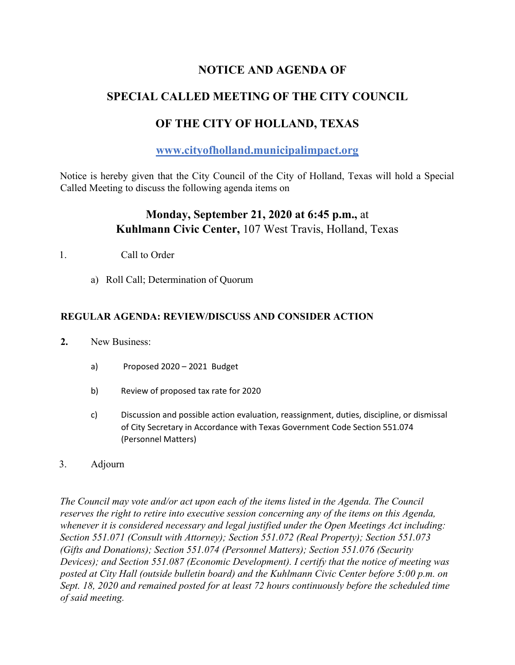## **NOTICE AND AGENDA OF**

## **SPECIAL CALLED MEETING OF THE CITY COUNCIL**

# **OF THE CITY OF HOLLAND, TEXAS**

### **www.cityofholland.municipalimpact.org**

Notice is hereby given that the City Council of the City of Holland, Texas will hold a Special Called Meeting to discuss the following agenda items on

## **Monday, September 21, 2020 at 6:45 p.m.,** at **Kuhlmann Civic Center,** 107 West Travis, Holland, Texas

- 1. Call to Order
	- a) Roll Call; Determination of Quorum

#### **REGULAR AGENDA: REVIEW/DISCUSS AND CONSIDER ACTION**

- **2.** New Business:
	- a) Proposed 2020 2021 Budget
	- b) Review of proposed tax rate for 2020
	- c) Discussion and possible action evaluation, reassignment, duties, discipline, or dismissal of City Secretary in Accordance with Texas Government Code Section 551.074 (Personnel Matters)
- 3. Adjourn

*The Council may vote and/or act upon each of the items listed in the Agenda. The Council reserves the right to retire into executive session concerning any of the items on this Agenda, whenever it is considered necessary and legal justified under the Open Meetings Act including: Section 551.071 (Consult with Attorney); Section 551.072 (Real Property); Section 551.073 (Gifts and Donations); Section 551.074 (Personnel Matters); Section 551.076 (Security Devices); and Section 551.087 (Economic Development). I certify that the notice of meeting was posted at City Hall (outside bulletin board) and the Kuhlmann Civic Center before 5:00 p.m. on Sept. 18, 2020 and remained posted for at least 72 hours continuously before the scheduled time of said meeting.*